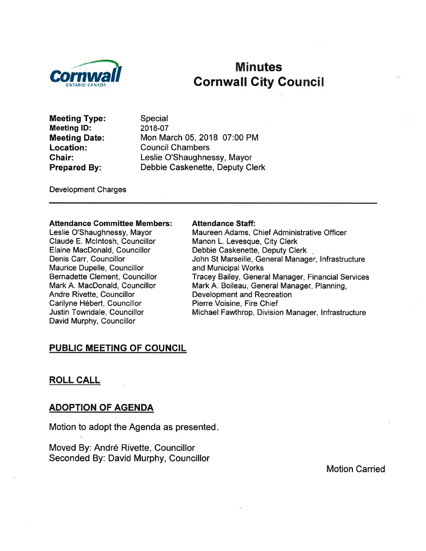

# Minutes Gornwall Gity Gouncil

Meeting Type: Meeting lD: Meeting Date: Location: Ghair: Prepared By:

Special 2018-07 Mon March 05, 2018 07:00 PM Council Chambers Leslie O'Shaughnessy, Mayor Debbie Caskenette, Deputy Clerk

Development Charges

#### Attendance Gommittee Members:

Leslie O'Shaughnessy, Mayor Claude E. Mclntosh, Councillor Elaine MacDonald, Councillor Denis Carr, Councillor Maurice Dupelle, Councillor Bernadette Clement, Councillor Mark A. MacDonald, Councillor Andre Rivette, Councillor Carilyne Hébert, Councillor Justin Towndale, Councillor David Murphy, Councillor

#### Attendance Staff:

Maureen Adams, Chief Administrative Officer Manon L. Levesque, City Clerk Debbie Caskenette, Deputy Clerk John St Marseille, General Manager, Infrastructure and Municipal Works Tracey Bailey, General Manager, Financial Services Mark A. Boileau, General Manager, Planning, Development and Recreation Pierre Voisine, Fire Chief Michael Fawthrop, Division Manager, lnfrastructure

#### PUBLIG MEETING OF COUNCIL

#### ROLL CALL

#### ADOPTION OF AGENDA

Motion to adopt the Agenda as presented

Moved By: André Rivette, Councillor Seconded By: David Murphy, Councillor

Motion Carried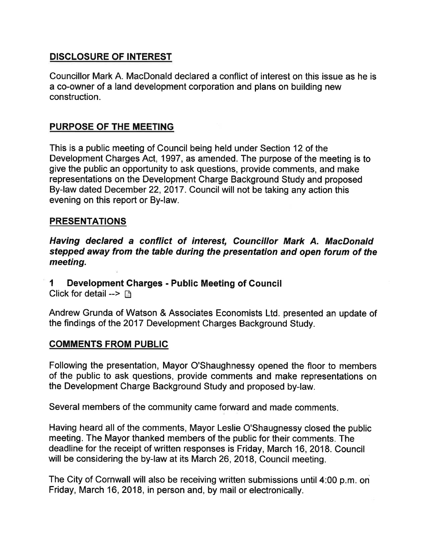# DISCLOSURE OF INTEREST

Councillor Mark A. MacDonald declared a conflict of interest on this issue as he is a co-owner of a land development corporation and plans on building new construction.

# PURPOSE OF THE MEETING

This is a public meeting of Council being held under Section 12 of the Development Charges Act, 1997, as amended. The purpose of the meeting is to give the public an opportunity to ask questions, provide comments, and make representations on the Development Charge Background Study and proposed By-law dated December 22, 2017. Council will not be taking any action this evening on this report or By-law.

## **PRESENTATIONS**

Having declared a conflict of interest, Councillor Mark A. MacDonald stepped away from the table during the presentation and open forum of the meeting.

I Development Charges - Public Meeting of Council Click for detail -->  $\Box$ 

Andrew Grunda of Watson & Associates Economists Ltd. presented an update of the findings of the 2017 Development Charges Background Study.

### COMMENTS FROM PUBLIC

Following the presentation, Mayor O'Shaughnessy opened the floor to members of the public to ask questions, provide comments and make representations on the Development Charge Background Study and proposed by-law.

Several members of the community came forward and made comments.

Having heard all of the comments, Mayor Leslie O'Shaugnessy closed the public meeting. The Mayor thanked members of the public for their comments. The deadline for the receipt of written responses is Friday, March 16,2018. Council will be considering the by-law at its March 26, 2018, Council meeting.

The City of Cornwall will also be receiving written submisslons until 4:00 p.m. on Friday, March 16,2018, in person and, by mail or electronically.